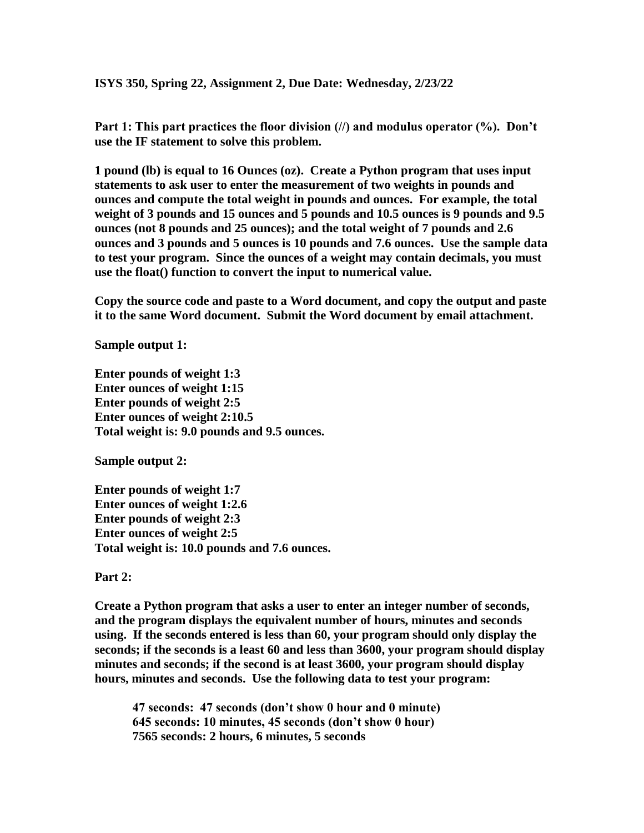**ISYS 350, Spring 22, Assignment 2, Due Date: Wednesday, 2/23/22**

Part 1: This part practices the floor division (//) and modulus operator (%). Don't **use the IF statement to solve this problem.** 

**1 pound (lb) is equal to 16 Ounces (oz). Create a Python program that uses input statements to ask user to enter the measurement of two weights in pounds and ounces and compute the total weight in pounds and ounces. For example, the total weight of 3 pounds and 15 ounces and 5 pounds and 10.5 ounces is 9 pounds and 9.5 ounces (not 8 pounds and 25 ounces); and the total weight of 7 pounds and 2.6 ounces and 3 pounds and 5 ounces is 10 pounds and 7.6 ounces. Use the sample data to test your program. Since the ounces of a weight may contain decimals, you must use the float() function to convert the input to numerical value.**

**Copy the source code and paste to a Word document, and copy the output and paste it to the same Word document. Submit the Word document by email attachment.**

**Sample output 1:**

**Enter pounds of weight 1:3 Enter ounces of weight 1:15 Enter pounds of weight 2:5 Enter ounces of weight 2:10.5 Total weight is: 9.0 pounds and 9.5 ounces.**

**Sample output 2:**

**Enter pounds of weight 1:7 Enter ounces of weight 1:2.6 Enter pounds of weight 2:3 Enter ounces of weight 2:5 Total weight is: 10.0 pounds and 7.6 ounces.**

**Part 2:**

**Create a Python program that asks a user to enter an integer number of seconds, and the program displays the equivalent number of hours, minutes and seconds using. If the seconds entered is less than 60, your program should only display the seconds; if the seconds is a least 60 and less than 3600, your program should display minutes and seconds; if the second is at least 3600, your program should display hours, minutes and seconds. Use the following data to test your program:**

**47 seconds: 47 seconds (don't show 0 hour and 0 minute) 645 seconds: 10 minutes, 45 seconds (don't show 0 hour) 7565 seconds: 2 hours, 6 minutes, 5 seconds**